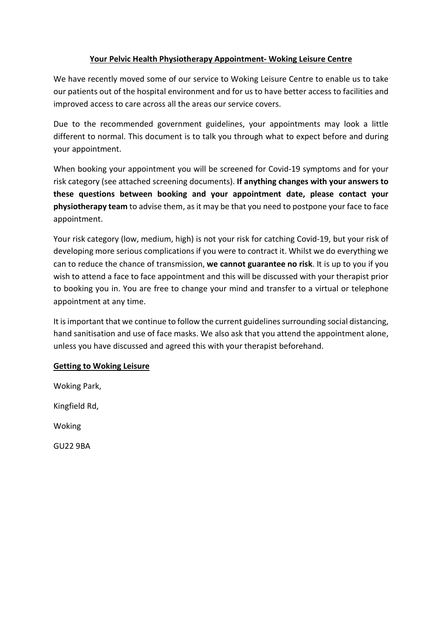## Your Pelvic Health Physiotherapy Appointment- Woking Leisure Centre

We have recently moved some of our service to Woking Leisure Centre to enable us to take our patients out of the hospital environment and for us to have better access to facilities and improved access to care across all the areas our service covers.

Due to the recommended government guidelines, your appointments may look a little different to normal. This document is to talk you through what to expect before and during your appointment.

When booking your appointment you will be screened for Covid-19 symptoms and for your risk category (see attached screening documents). If anything changes with your answers to these questions between booking and your appointment date, please contact your physiotherapy team to advise them, as it may be that you need to postpone your face to face appointment.

Your risk category (low, medium, high) is not your risk for catching Covid-19, but your risk of developing more serious complications if you were to contract it. Whilst we do everything we can to reduce the chance of transmission, we cannot guarantee no risk. It is up to you if you wish to attend a face to face appointment and this will be discussed with your therapist prior to booking you in. You are free to change your mind and transfer to a virtual or telephone appointment at any time.

It is important that we continue to follow the current guidelines surrounding social distancing, hand sanitisation and use of face masks. We also ask that you attend the appointment alone, unless you have discussed and agreed this with your therapist beforehand.

## Getting to Woking Leisure

Woking Park, Kingfield Rd,

Woking

GU22 9BA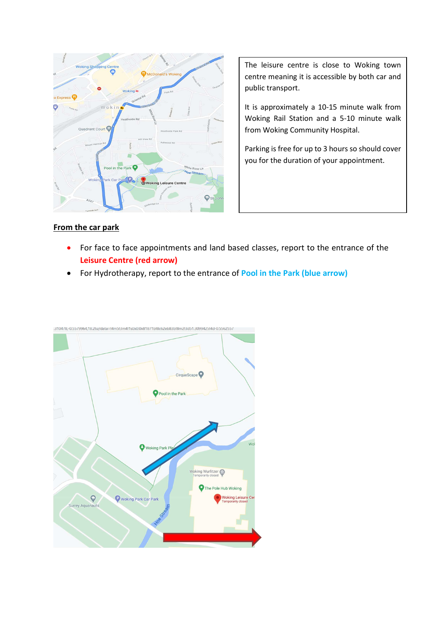

The leisure centre is close to Woking town centre meaning it is accessible by both car and public transport.

It is approximately a 10-15 minute walk from Woking Rail Station and a 5-10 minute walk from Woking Community Hospital.

Parking is free for up to 3 hours so should cover you for the duration of your appointment.

### From the car park

- For face to face appointments and land based classes, report to the entrance of the Leisure Centre (red arrow)
- For Hydrotherapy, report to the entrance of Pool in the Park (blue arrow)

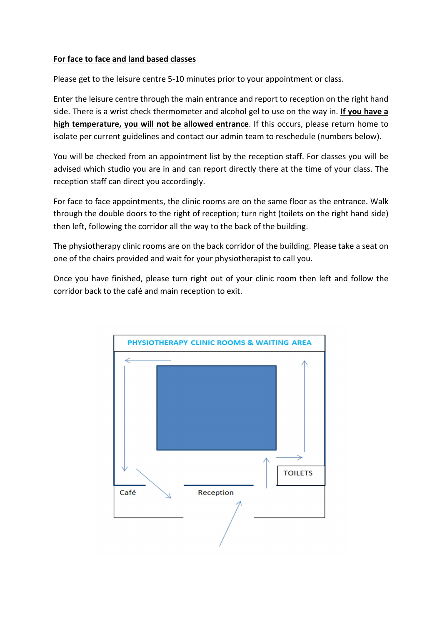## For face to face and land based classes

Please get to the leisure centre 5-10 minutes prior to your appointment or class.

Enter the leisure centre through the main entrance and report to reception on the right hand side. There is a wrist check thermometer and alcohol gel to use on the way in. If you have a high temperature, you will not be allowed entrance. If this occurs, please return home to isolate per current guidelines and contact our admin team to reschedule (numbers below).

You will be checked from an appointment list by the reception staff. For classes you will be advised which studio you are in and can report directly there at the time of your class. The reception staff can direct you accordingly.

For face to face appointments, the clinic rooms are on the same floor as the entrance. Walk through the double doors to the right of reception; turn right (toilets on the right hand side) then left, following the corridor all the way to the back of the building.

The physiotherapy clinic rooms are on the back corridor of the building. Please take a seat on one of the chairs provided and wait for your physiotherapist to call you.

Once you have finished, please turn right out of your clinic room then left and follow the corridor back to the café and main reception to exit.